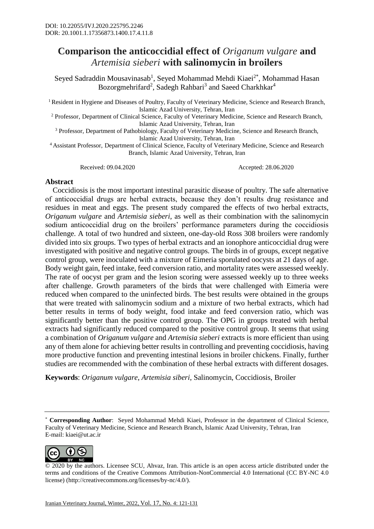## **Comparison the anticoccidial effect of** *Origanum vulgare* **and**  *Artemisia sieberi* **with salinomycin in broilers**

Seyed Sadraddin Mousavinasab<sup>1</sup>, Seyed Mohammad Mehdi Kiaei<sup>2\*</sup>, Mohammad Hasan Bozorgmehrifard<sup>2</sup>, Sadegh Rahbari<sup>3</sup> and Saeed Charkhkar<sup>4</sup>

<sup>1</sup> Resident in Hygiene and Diseases of Poultry, Faculty of Veterinary Medicine, Science and Research Branch, Islamic Azad University, Tehran, Iran

<sup>2</sup> Professor, Department of Clinical Science, Faculty of Veterinary Medicine, Science and Research Branch, Islamic Azad University, Tehran, Iran

<sup>3</sup> Professor, Department of Pathobiology, Faculty of Veterinary Medicine, Science and Research Branch, Islamic Azad University, Tehran, Iran

<sup>4</sup> Assistant Professor, Department of Clinical Science, Faculty of Veterinary Medicine, Science and Research Branch, Islamic Azad University, Tehran, Iran

Received: 09.04.2020 Accepted: 28.06.2020

## **Abstract**

 Coccidiosis is the most important intestinal parasitic disease of poultry. The safe alternative of anticoccidial drugs are herbal extracts, because they don't results drug resistance and residues in meat and eggs. The present study compared the effects of two herbal extracts, *Origanum vulgare* and *Artemisia sieberi*, as well as their combination with the salinomycin sodium anticoccidial drug on the broilers' performance parameters during the coccidiosis challenge. A total of two hundred and sixteen, one-day-old Ross 308 broilers were randomly divided into six groups. Two types of herbal extracts and an ionophore anticoccidial drug were investigated with positive and negative control groups. The birds in of groups, except negative control group, were inoculated with a mixture of Eimeria sporulated oocysts at 21 days of age. Body weight gain, feed intake, feed conversion ratio, and mortality rates were assessed weekly. The rate of oocyst per gram and the lesion scoring were assessed weekly up to three weeks after challenge. Growth parameters of the birds that were challenged with Eimeria were reduced when compared to the uninfected birds. The best results were obtained in the groups that were treated with salinomycin sodium and a mixture of two herbal extracts, which had better results in terms of body weight, food intake and feed conversion ratio, which was significantly better than the positive control group. The OPG in groups treated with herbal extracts had significantly reduced compared to the positive control group. It seems that using a combination of *Origanum vulgare* and *Artemisia sieberi* extracts is more efficient than using any of them alone for achieving better results in controlling and preventing coccidiosis, having more productive function and preventing intestinal lesions in broiler chickens. Finally, further studies are recommended with the combination of these herbal extracts with different dosages.

**Keywords**: *Origanum vulgare*, *Artemisia siberi*, Salinomycin, Coccidiosis, Broiler

<sup>\*</sup> **Corresponding Author**: Seyed Mohammad Mehdi Kiaei, Professor in the department of Clinical Science, Faculty of Veterinary Medicine, Science and Research Branch, Islamic Azad University, Tehran, Iran E-mail: kiaei@ut.ac.ir



<sup>© 2020</sup> by the authors. Licensee SCU, Ahvaz, Iran. This article is an open access article distributed under the terms and conditions of the Creative Commons Attribution-NonCommercial 4.0 International (CC BY-NC 4.0 license) (http://creativecommons.org/licenses/by-nc/4.0/).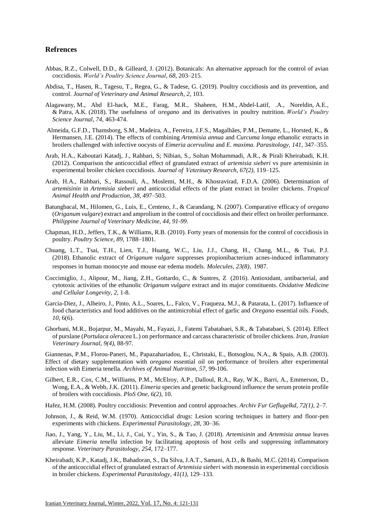## **Refrences**

- Abbas, R.Z., Colwell, D.D., & Gilleard, J. (2012). Botanicals: An alternative approach for the control of avian coccidiosis. *World's Poultry Science Journal*, *68*, 203–215.
- Abdisa, T., Hasen, R., Tagesu, T., Regea, G., & Tadese, G. (2019). Poultry coccidiosis and its prevention, and control. *Journal of Veterinary and Animal Research*, *2*, 103.
- Alagawany, M., Abd El-hack, M.E., Farag, M.R., Shaheen, H.M., Abdel-Latif, .A., Noreldin, A.E., & Patra, A.K. (2018). The usefulness of o*regano* and its derivatives in poultry nutrition. *World's Poultry Science Journal*, *74*, 463-474.
- Almeida, G.F.D., Thamsborg, S.M., Madeira, A., Ferreira, J.F.S., Magalhães, P.M., Dematte, L., Horsted, K., & Hermansen, J.E. (2014). The effects of combining *Artemisia annua* and *Curcuma longa* ethanolic extracts in broilers challenged with infective oocysts of *Eimeria acervulina* and *E. maxima*. *Parasitology*, *141*, 347–355.
- Arab, H.A., Kaboutari Katadj, J., Rahbari, S; Nibian, S., Soltan Mohammadi, A.R., & Pirali Kheirabadi, K.H. (2012). Comparison the anticoccidial effect of granulated extract of *artemisia sieberi* vs pure artemisinin in experimental broiler chicken coccidiosis. *Journal of* Veterinary *Research*, *67(2)*, 119–125.
- Arab, H.A., Rahbari, S., Rassouli, A., Moslemi, M.H., & Khosravirad, F.D.A. (2006). Determination of *artemisinin* in *Artemisia sieberi* and anticoccidial effects of the plant extract in broiler chickens. *Tropical Animal Health and Production*, *38*, 497–503.
- Batungbacal, M., Hilomen, G., Luis, E., Centeno, J., & Carandang, N. (2007). Comparative efficacy of *oregano* (*Origanum vulgare*) extract and amprolium in the control of coccidiosis and their effect on broiler performance. *Philippine Journal of Veterinary Medicine*, *44*, *91-99*.
- Chapman, H.D., Jeffers, T.K., & Williams, R.B. (2010). Forty years of monensin for the control of coccidiosis in poultry. *Poultry Science*, *89*, 1788–1801.
- Chuang, L.T., Tsai, T.H., Lien, T.J., Huang, W.C., Liu, J.J., Chang, H., Chang, M.L., & Tsai, P.J*.* (2018). Ethanolic extract of *Origanum vulgare* suppresses propionibacterium acnes-induced inflammatory responses in human monocyte and mouse ear edema models. *Molecules*, *23(8)*, 1987.
- Coccimiglio, J., Alipour, M., Jiang, Z.H., Gottardo, C., & Suntres, Z. (2016). Antioxidant, antibacterial, and cytotoxic activities of the ethanolic *Origanum vulgare* extract and its major constituents. *Oxidative Medicine and Cellular Longevity*, *2*, 1-8.
- Garcia-Diez, J., Alheiro, J., Pinto, A.L., Soares, L., Falco, V., Fraqueza, M.J., & Patarata, L. (2017). Influence of food characteristics and food additives on the antimicrobial effect of garlic and *Oregano* essential oils. *Foods*, *10*, 6(6).
- Ghorbani, M.R., Bojarpur, M., Mayahi, M., Fayazi, J., Fatemi Tabatabaei, S.R., & Tabatabaei, S. (2014). Effect of purslane (*Portulaca oleracea* L.) on performance and carcass characteristic of broiler chickens. *Iran, Iranian Veterinary Journal*, *9(4)*, 88-97.

Giannenas, P.M., Florou-Paneri, M., Papazahariadou, E., Christaki, E., Botsoglou, N.A., & Spais, A.B. (2003). Effect of dietary supplementation with *oregano* essential oil on performance of broilers after experimental infection with Eimeria tenella. *Archives of Animal Nutrition*, *57*, 99-106.

- Gilbert, E.R., Cox, C.M., Williams, P.M., McElroy, A.P., Dalloul, R.A., Ray, W.K., Barri, A., Emmerson, D., Wong, E.A., & Webb, J.K. (2011). *Eimeria* species and genetic background influence the serum protein profile of broilers with coccidiosis. *PloS One*, *6(2)*, 10.
- Hafez, H.M. (2008). Poultry coccidiosis: Prevention and control approaches. *Archiv Fur Geflugelkd*, *72(1)*, 2–7.
- Johnson, J., & Reid, W.M. (1970). Anticoccidial drugs: Lesion scoring techniques in battery and floor-pen experiments with chickens. *Experimental Parasitology*, *28*, 30–36.
- Jiao, J., Yang, Y., Liu, M., Li, J., Cui, Y., Yin, S., & Tao, J. (2018). *Artemisinin* and *Artemisia annua* leaves alleviate *Eimeria tenella* infection by facilitating apoptosis of host cells and suppressing inflammatory response. *Veterinary Parasitology*, *254*, 172–177.
- Kheirabadi, K.P., Katadj, J.K., Bahadoran, S., Da Silva, J.A.T., Samani, A.D., & Bashi, M.C. (2014). Comparison of the anticoccidial effect of granulated extract of *Artemisia sieberi* with monensin in experimental coccidiosis in broiler chickens. *Experimental Parasitology*, *41(1)*, 129–133.